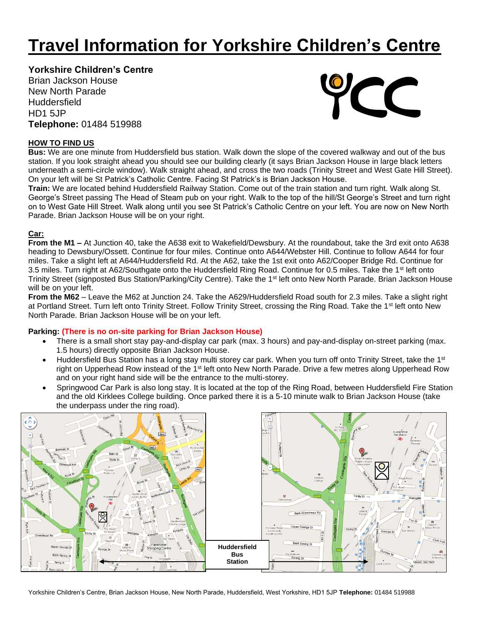# **Travel Information for Yorkshire Children's Centre**

## **Yorkshire Children's Centre**

Brian Jackson House New North Parade **Huddersfield** HD1 5JP **Telephone:** 01484 519988



### **HOW TO FIND US**

**Bus:** We are one minute from Huddersfield bus station. Walk down the slope of the covered walkway and out of the bus station. If you look straight ahead you should see our building clearly (it says Brian Jackson House in large black letters underneath a semi-circle window). Walk straight ahead, and cross the two roads (Trinity Street and West Gate Hill Street). On your left will be St Patrick's Catholic Centre. Facing St Patrick's is Brian Jackson House.

**Train:** We are located behind Huddersfield Railway Station. Come out of the train station and turn right. Walk along St. George's Street passing The Head of Steam pub on your right. Walk to the top of the hill/St George's Street and turn right on to West Gate Hill Street. Walk along until you see St Patrick's Catholic Centre on your left. You are now on New North Parade. Brian Jackson House will be on your right.

## **Car:**

**From the M1 –** At Junction 40, take the A638 exit to Wakefield/Dewsbury. At the roundabout, take the 3rd exit onto A638 heading to Dewsbury/Ossett. Continue for four miles. Continue onto A644/Webster Hill. Continue to follow A644 for four miles. Take a slight left at A644/Huddersfield Rd. At the A62, take the 1st exit onto A62/Cooper Bridge Rd. Continue for 3.5 miles. Turn right at A62/Southgate onto the Huddersfield Ring Road. Continue for 0.5 miles. Take the 1<sup>st</sup> left onto Trinity Street (signposted Bus Station/Parking/City Centre). Take the 1<sup>st</sup> left onto New North Parade. Brian Jackson House will be on your left.

**From the M62** – Leave the M62 at Junction 24. Take the A629/Huddersfield Road south for 2.3 miles. Take a slight right at Portland Street. Turn left onto Trinity Street. Follow Trinity Street, crossing the Ring Road. Take the 1<sup>st</sup> left onto New North Parade. Brian Jackson House will be on your left.

#### **Parking: (There is no on-site parking for Brian Jackson House)**

- There is a small short stay pay-and-display car park (max. 3 hours) and pay-and-display on-street parking (max. 1.5 hours) directly opposite Brian Jackson House.
- Huddersfield Bus Station has a long stay multi storey car park. When you turn off onto Trinity Street, take the 1<sup>st</sup> right on Upperhead Row instead of the 1<sup>st</sup> left onto New North Parade. Drive a few metres along Upperhead Row and on your right hand side will be the entrance to the multi-storey.
- Springwood Car Park is also long stay. It is located at the top of the Ring Road, between Huddersfield Fire Station and the old Kirklees College building. Once parked there it is a 5-10 minute walk to Brian Jackson House (take the underpass under the ring road).